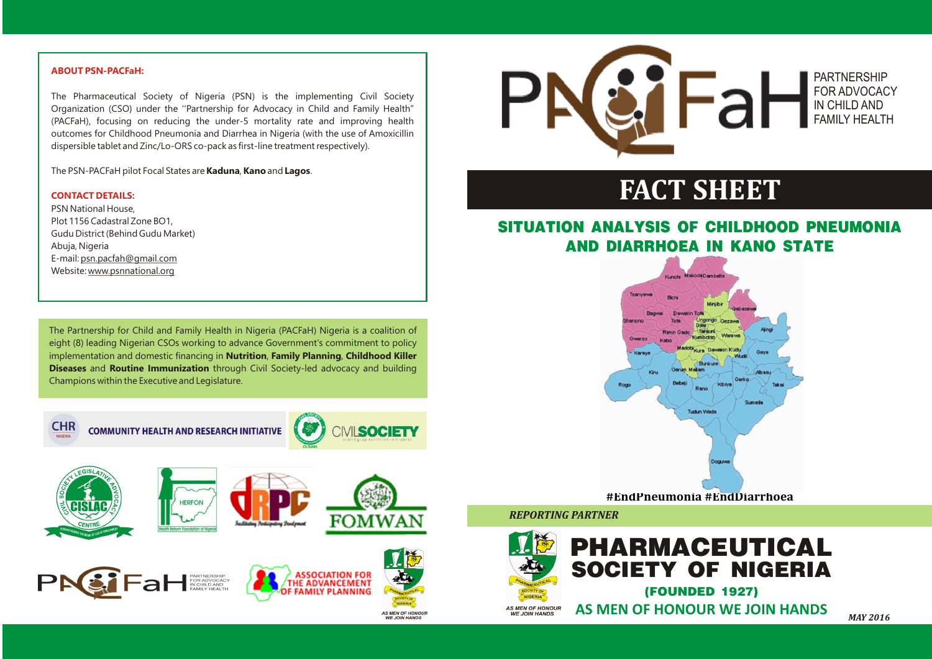

## **SITUATION ANALYSIS OF CHILDHOOD PNEUMONIA AND DIARRHOEA IN KANO STATE**

*REPORTING PARTNER* 

# **FACT SHEET**

The Partnership for Child and Family Health in Nigeria (PACFaH) Nigeria is a coalition of eight (8) leading Nigerian CSOs working to advance Government's commitment to policy implementation and domestic financing in **Nutrition**, **Family Planning**, **Childhood Killer Diseases** and **Routine Immunization** through Civil Society-led advocacy and building Champions within the Executive and Legislature.



**COMMUNITY HEALTH AND RESEARCH INITIATIVE** 















**AS MEN OF HONOU<br>WE JOIN HANDS** 



*MAY 2016*

### PARTNERSHIP FOR ADVOCACY IN CHILD AND FAMILY HEALTH

#### **ABOUT PSN-PACFaH:**

#### **CONTACT DETAILS:**

The Pharmaceutical Society of Nigeria (PSN) is the implementing Civil Society Organization (CSO) under the ''Partnership for Advocacy in Child and Family Health" (PACFaH), focusing on reducing the under-5 mortality rate and improving health outcomes for Childhood Pneumonia and Diarrhea in Nigeria (with the use of Amoxicillin dispersible tablet and Zinc/Lo-ORS co-pack as first-line treatment respectively).

The PSN-PACFaH pilot Focal States are **Kaduna**, **Kano** and **Lagos**.

PSN National House, Plot 1156 Cadastral Zone BO1, Gudu District (Behind Gudu Market) Abuja, Nigeria E-mail: psn.pacfah@gmail.com Website: www.psnnational.org